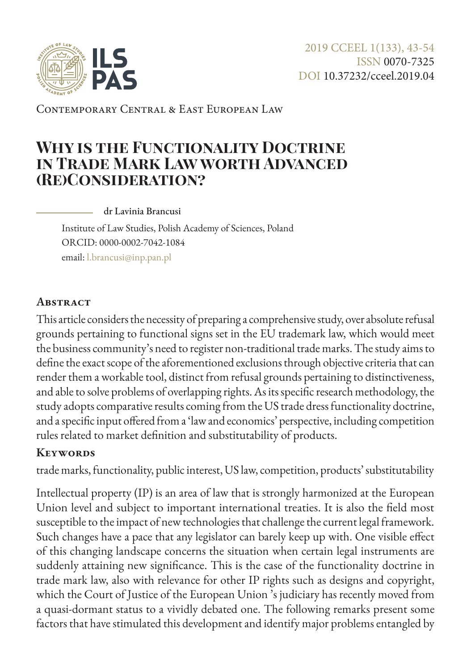

Contemporary Central & East European Law

# **Why is the Functionality Doctrine in Trade Mark Law worth Advanced (Re)Consideration?**

dr Lavinia Brancusi

Institute of Law Studies, Polish Academy of Sciences, Poland ORCID: 0000-0002-7042-1084 email: [l.brancusi@inp.pan.pl](mailto:l.brancusi%40inp.pan.pl?subject=)

### **Abstract**

This article considers the necessity of preparing a comprehensive study, over absolute refusal grounds pertaining to functional signs set in the EU trademark law, which would meet the business community's need to register non-traditional trade marks. The study aims to define the exact scope of the aforementioned exclusions through objective criteria that can render them a workable tool, distinct from refusal grounds pertaining to distinctiveness, and able to solve problems of overlapping rights. As its specific research methodology, the study adopts comparative results coming from the US trade dress functionality doctrine, and a specific input offered from a 'law and economics' perspective, including competition rules related to market definition and substitutability of products.

### **Keywords**

trade marks, functionality, public interest, US law, competition, products' substitutability

Intellectual property (IP) is an area of law that is strongly harmonized at the European Union level and subject to important international treaties. It is also the field most susceptible to the impact of new technologies that challenge the current legal framework. Such changes have a pace that any legislator can barely keep up with. One visible effect of this changing landscape concerns the situation when certain legal instruments are suddenly attaining new significance. This is the case of the functionality doctrine in trade mark law, also with relevance for other IP rights such as designs and copyright, which the Court of Justice of the European Union 's judiciary has recently moved from a quasi-dormant status to a vividly debated one. The following remarks present some factors that have stimulated this development and identify major problems entangled by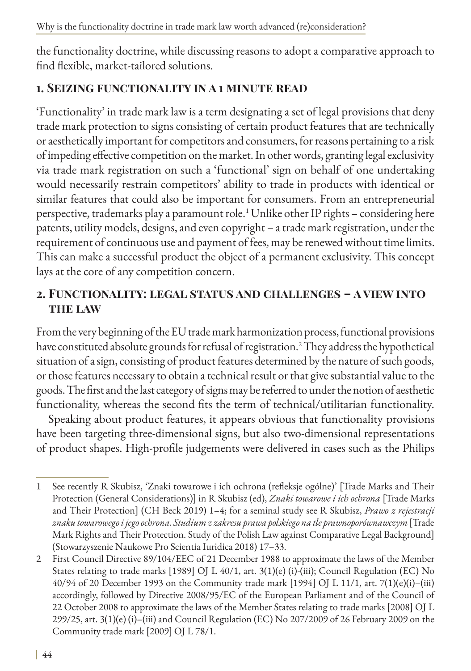the functionality doctrine, while discussing reasons to adopt a comparative approach to find flexible, market-tailored solutions.

# **1. Seizing functionality in a 1 minute read**

'Functionality' in trade mark law is a term designating a set of legal provisions that deny trade mark protection to signs consisting of certain product features that are technically or aesthetically important for competitors and consumers, for reasons pertaining to a risk of impeding effective competition on the market. In other words, granting legal exclusivity via trade mark registration on such a 'functional' sign on behalf of one undertaking would necessarily restrain competitors' ability to trade in products with identical or similar features that could also be important for consumers. From an entrepreneurial perspective, trademarks play a paramount role.<sup>1</sup> Unlike other IP rights – considering here patents, utility models, designs, and even copyright – a trade mark registration, under the requirement of continuous use and payment of fees, may be renewed without time limits. This can make a successful product the object of a permanent exclusivity. This concept lays at the core of any competition concern.

# **2. Functionality: legal status and challenges – a view into the law**

From the very beginning of the EU trade mark harmonization process, functional provisions have constituted absolute grounds for refusal of registration.2 They address the hypothetical situation of a sign, consisting of product features determined by the nature of such goods, or those features necessary to obtain a technical result or that give substantial value to the goods. The first and the last category of signs may be referred to under the notion of aesthetic functionality, whereas the second fits the term of technical/utilitarian functionality.

Speaking about product features, it appears obvious that functionality provisions have been targeting three-dimensional signs, but also two-dimensional representations of product shapes. High-profile judgements were delivered in cases such as the Philips

<sup>1</sup> See recently R Skubisz, 'Znaki towarowe i ich ochrona (refleksje ogólne)' [Trade Marks and Their Protection (General Considerations)] in R Skubisz (ed), *Znaki towarowe i ich ochrona* [Trade Marks and Their Protection] (CH Beck 2019) 1–4; for a seminal study see R Skubisz, *Prawo z rejestracji znaku towarowego i jego ochrona. Studium z zakresu prawa polskiego na tle prawnoporównawczym* [Trade Mark Rights and Their Protection. Study of the Polish Law against Comparative Legal Background] (Stowarzyszenie Naukowe Pro Scientia Iuridica 2018) 17–33.

<sup>2</sup> First Council Directive 89/104/EEC of 21 December 1988 to approximate the laws of the Member States relating to trade marks [1989] OJ L 40/1, art. 3(1)(e) (i)-(iii); Council Regulation (EC) No 40/94 of 20 December 1993 on the Community trade mark [1994] OJ L 11/1, art. 7(1)(e)(i)–(iii) accordingly, followed by Directive 2008/95/EC of the European Parliament and of the Council of 22 October 2008 to approximate the laws of the Member States relating to trade marks [2008] OJ L 299/25, art. 3(1)(e) (i)–(iii) and Council Regulation (EC) No 207/2009 of 26 February 2009 on the Community trade mark [2009] OJ L 78/1.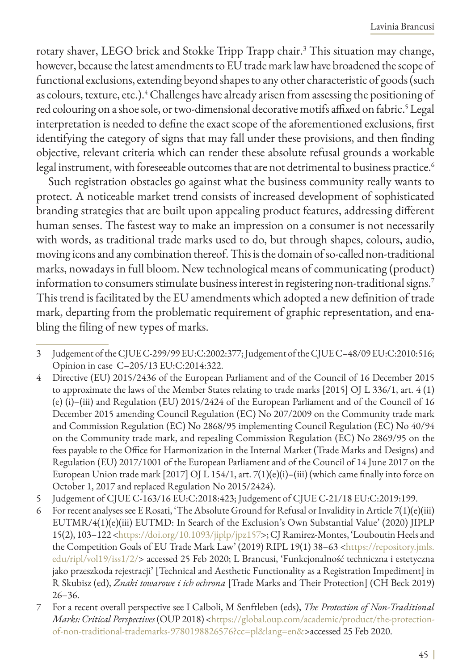rotary shaver, LEGO brick and Stokke Tripp Trapp chair.3 This situation may change, however, because the latest amendments to EU trade mark law have broadened the scope of functional exclusions, extending beyond shapes to any other characteristic of goods (such as colours, texture, etc.).<sup>4</sup> Challenges have already arisen from assessing the positioning of red colouring on a shoe sole, or two-dimensional decorative motifs affixed on fabric.<sup>5</sup> Legal interpretation is needed to define the exact scope of the aforementioned exclusions, first identifying the category of signs that may fall under these provisions, and then finding objective, relevant criteria which can render these absolute refusal grounds a workable legal instrument, with foreseeable outcomes that are not detrimental to business practice.<sup>6</sup>

Such registration obstacles go against what the business community really wants to protect. A noticeable market trend consists of increased development of sophisticated branding strategies that are built upon appealing product features, addressing different human senses. The fastest way to make an impression on a consumer is not necessarily with words, as traditional trade marks used to do, but through shapes, colours, audio, moving icons and any combination thereof. This is the domain of so-called non-traditional marks, nowadays in full bloom. New technological means of communicating (product) information to consumers stimulate business interest in registering non-traditional signs.<sup>7</sup> This trend is facilitated by the EU amendments which adopted a new definition of trade mark, departing from the problematic requirement of graphic representation, and enabling the filing of new types of marks.

- 5 Judgement of CJUE C-163/16 EU:C:2018:423; Judgement of CJUE C-21/18 EU:C:2019:199.
- 6 For recent analyses see E Rosati, 'The Absolute Ground for Refusal or Invalidity in Article 7(1)(e)(iii) EUTMR/4(1)(e)(iii) EUTMD: In Search of the Exclusion's Own Substantial Value' (2020) JIPLP 15(2), 103–122 <<https://doi.org/10.1093/jiplp/jpz157>>; CJ Ramirez-Montes, 'Louboutin Heels and the Competition Goals of EU Trade Mark Law' (2019) RIPL 19(1) 38–63 <[https://repository.jmls.](https://repository.jmls.edu/ripl/vol19/iss1/2/) [edu/ripl/vol19/iss1/2/>](https://repository.jmls.edu/ripl/vol19/iss1/2/) accessed 25 Feb 2020; L Brancusi, 'Funkcjonalność techniczna i estetyczna jako przeszkoda rejestracji' [Technical and Aesthetic Functionality as a Registration Impediment] in R Skubisz (ed), *Znaki towarowe i ich ochrona* [Trade Marks and Their Protection] (CH Beck 2019) 26–36.
- 7 For a recent overall perspective see I Calboli, M Senftleben (eds), *The Protection of Non-Traditional Marks: Critical Perspectives* (OUP 2018) [<https://global.oup.com/academic/product/the-protection](https://global.oup.com/academic/product/the-protection-of-non-traditional-trademarks-9780198826576?cc=pl&lang=en&)[of-non-traditional-trademarks-9780198826576?cc=pl&lang=en&](https://global.oup.com/academic/product/the-protection-of-non-traditional-trademarks-9780198826576?cc=pl&lang=en&)>accessed 25 Feb 2020.

<sup>3</sup> Judgement of the CJUE C-299/99 EU:C:2002:377; Judgement of the CJUE C–48/09 EU:C:2010:516; Opinion in case C–205/13 EU:C:2014:322.

<sup>4</sup> Directive (EU) 2015/2436 of the European Parliament and of the Council of 16 December 2015 to approximate the laws of the Member States relating to trade marks [2015] OJ L 336/1, art. 4 (1) (e) (i)–(iii) and Regulation (EU) 2015/2424 of the European Parliament and of the Council of 16 December 2015 amending Council Regulation (EC) No 207/2009 on the Community trade mark and Commission Regulation (EC) No 2868/95 implementing Council Regulation (EC) No 40/94 on the Community trade mark, and repealing Commission Regulation (EC) No 2869/95 on the fees payable to the Office for Harmonization in the Internal Market (Trade Marks and Designs) and Regulation (EU) 2017/1001 of the European Parliament and of the Council of 14 June 2017 on the European Union trade mark [2017] OJ L 154/1, art.  $7(1)(e)(i) - (iii)$  (which came finally into force on October 1, 2017 and replaced Regulation No 2015/2424).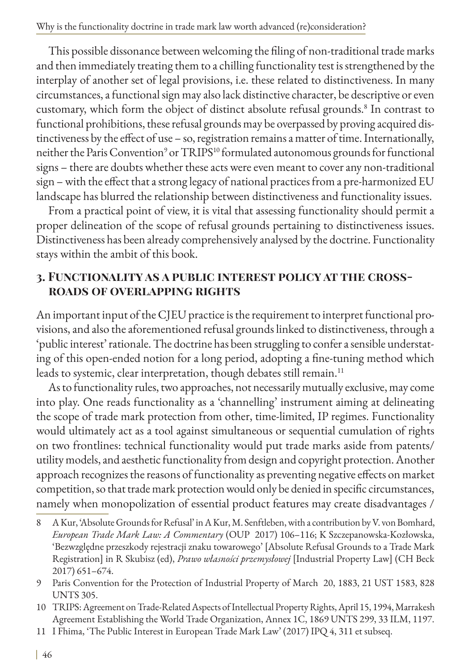This possible dissonance between welcoming the filing of non-traditional trade marks and then immediately treating them to a chilling functionality test is strengthened by the interplay of another set of legal provisions, i.e. these related to distinctiveness. In many circumstances, a functional sign may also lack distinctive character, be descriptive or even customary, which form the object of distinct absolute refusal grounds.<sup>8</sup> In contrast to functional prohibitions, these refusal grounds may be overpassed by proving acquired distinctiveness by the effect of use – so, registration remains a matter of time. Internationally, neither the Paris Convention<sup>9</sup> or TRIPS<sup>10</sup> formulated autonomous grounds for functional signs – there are doubts whether these acts were even meant to cover any non-traditional sign – with the effect that a strong legacy of national practices from a pre-harmonized EU landscape has blurred the relationship between distinctiveness and functionality issues.

From a practical point of view, it is vital that assessing functionality should permit a proper delineation of the scope of refusal grounds pertaining to distinctiveness issues. Distinctiveness has been already comprehensively analysed by the doctrine. Functionality stays within the ambit of this book.

### **3. Functionality as a public interest policy at the crossroads of overlapping rights**

An important input of the CJEU practice is the requirement to interpret functional provisions, and also the aforementioned refusal grounds linked to distinctiveness, through a 'public interest' rationale. The doctrine has been struggling to confer a sensible understating of this open-ended notion for a long period, adopting a fine-tuning method which leads to systemic, clear interpretation, though debates still remain.<sup>11</sup>

As to functionality rules, two approaches, not necessarily mutually exclusive, may come into play. One reads functionality as a 'channelling' instrument aiming at delineating the scope of trade mark protection from other, time-limited, IP regimes. Functionality would ultimately act as a tool against simultaneous or sequential cumulation of rights on two frontlines: technical functionality would put trade marks aside from patents/ utility models, and aesthetic functionality from design and copyright protection. Another approach recognizes the reasons of functionality as preventing negative effects on market competition, so that trade mark protection would only be denied in specific circumstances, namely when monopolization of essential product features may create disadvantages /

- 8 A Kur, 'Absolute Grounds for Refusal' in A Kur, M. Senftleben, with a contribution by V. von Bomhard, *European Trade Mark Law: A Commentary* (OUP 2017) 106–116; K Szczepanowska-Kozłowska, 'Bezwzględne przeszkody rejestracji znaku towarowego' [Absolute Refusal Grounds to a Trade Mark Registration] in R Skubisz (ed), *Prawo własności przemysłowej* [Industrial Property Law] (CH Beck 2017) 651–674.
- 9 Paris Convention for the Protection of Industrial Property of March 20, 1883, 21 UST 1583, 828 UNTS 305.
- 10 TRIPS: Agreement on Trade-Related Aspects of Intellectual Property Rights, April 15, 1994, Marrakesh Agreement Establishing the World Trade Organization, Annex 1C, 1869 UNTS 299, 33 ILM, 1197.
- 11 I Fhima, 'The Public Interest in European Trade Mark Law' (2017) IPQ 4, 311 et subseq.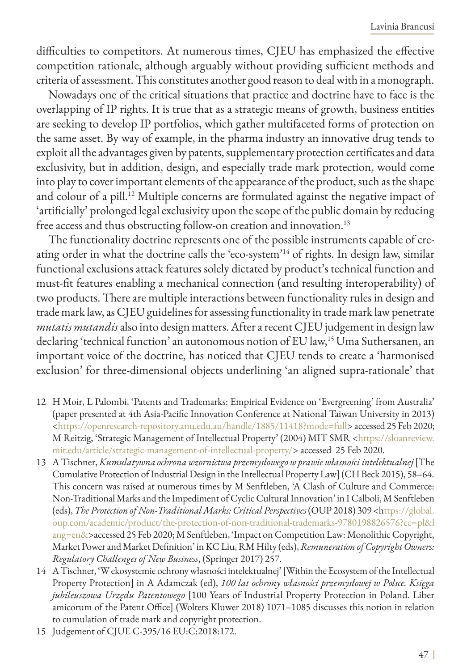difficulties to competitors. At numerous times, CJEU has emphasized the effective competition rationale, although arguably without providing sufficient methods and criteria of assessment. This constitutes another good reason to deal with in a monograph.

Nowadays one of the critical situations that practice and doctrine have to face is the overlapping of IP rights. It is true that as a strategic means of growth, business entities are seeking to develop IP portfolios, which gather multifaceted forms of protection on the same asset. By way of example, in the pharma industry an innovative drug tends to exploit all the advantages given by patents, supplementary protection certificates and data exclusivity, but in addition, design, and especially trade mark protection, would come into play to cover important elements of the appearance of the product, such as the shape and colour of a pill.<sup>12</sup> Multiple concerns are formulated against the negative impact of 'artificially' prolonged legal exclusivity upon the scope of the public domain by reducing free access and thus obstructing follow-on creation and innovation.<sup>13</sup>

The functionality doctrine represents one of the possible instruments capable of creating order in what the doctrine calls the 'eco-system'<sup>14</sup> of rights. In design law, similar functional exclusions attack features solely dictated by product's technical function and must-fit features enabling a mechanical connection (and resulting interoperability) of two products. There are multiple interactions between functionality rules in design and trade mark law, as CJEU guidelines for assessing functionality in trade mark law penetrate *mutatis mutandis* also into design matters. After a recent CJEU judgement in design law declaring 'technical function' an autonomous notion of EU law,<sup>15</sup> Uma Suthersanen, an important voice of the doctrine, has noticed that CJEU tends to create a 'harmonised exclusion' for three-dimensional objects underlining 'an aligned supra-rationale' that

- 12 H Moir, L Palombi, 'Patents and Trademarks: Empirical Evidence on 'Evergreening' from Australia' (paper presented at 4th Asia-Pacific Innovation Conference at National Taiwan University in 2013) <[https://openresearch-repository.anu.edu.au/handle/1885/11418?mode=full>](https://openresearch-repository.anu.edu.au/handle/1885/11418?mode=full) accessed 25 Feb 2020; M Reitzig, 'Strategic Management of Intellectual Property' (2004) MIT SMR <[https://sloanreview.](https://sloanreview.mit.edu/article/strategic-management-of-intellectual-property/) [mit.edu/article/strategic-management-of-intellectual-property/>](https://sloanreview.mit.edu/article/strategic-management-of-intellectual-property/) accessed 25 Feb 2020.
- 13 A Tischner, *Kumulatywna ochrona wzornictwa przemysłowego w prawie własności intelektualnej* [The Cumulative Protection of Industrial Design in the Intellectual Property Law] (CH Beck 2015), 58–64. This concern was raised at numerous times by M Senftleben, 'A Clash of Culture and Commerce: Non-Traditional Marks and the Impediment of Cyclic Cultural Innovation' in I Calboli, M Senftleben (eds), *The Protection of Non-Traditional Marks: Critical Perspectives* (OUP 2018) 309 <h[ttps://global.](ttps://global.oup.com/academic/product/the-protection-of-non-traditional-trademarks-9780198826576?cc) [oup.com/academic/product/the-protection-of-non-traditional-trademarks-9780198826576?cc=pl&l](ttps://global.oup.com/academic/product/the-protection-of-non-traditional-trademarks-9780198826576?cc) [ang=en&>](ttps://global.oup.com/academic/product/the-protection-of-non-traditional-trademarks-9780198826576?cc)accessed 25 Feb 2020; M Senftleben, 'Impact on Competition Law: Monolithic Copyright, Market Power and Market Definition' in KC Liu, RM Hilty (eds), *Remuneration of Copyright Owners: Regulatory Challenges of New Business*, (Springer 2017) 257.
- 14 A Tischner, 'W ekosystemie ochrony własności intelektualnej' [Within the Ecosystem of the Intellectual Property Protection] in A Adamczak (ed), *100 lat ochrony własności przemysłowej w Polsce. Księga jubileuszowa Urzędu Patentowego* [100 Years of Industrial Property Protection in Poland. Liber amicorum of the Patent Office] (Wolters Kluwer 2018) 1071–1085 discusses this notion in relation to cumulation of trade mark and copyright protection.
- 15 Judgement of CJUE C-395/16 EU:C:2018:172.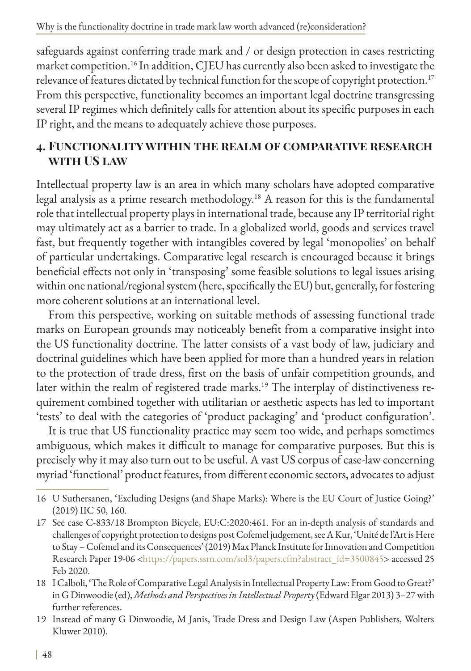safeguards against conferring trade mark and / or design protection in cases restricting market competition.<sup>16</sup> In addition, CJEU has currently also been asked to investigate the relevance of features dictated by technical function for the scope of copyright protection.<sup>17</sup> From this perspective, functionality becomes an important legal doctrine transgressing several IP regimes which definitely calls for attention about its specific purposes in each IP right, and the means to adequately achieve those purposes.

### **4. Functionality within the realm of comparative research with US law**

Intellectual property law is an area in which many scholars have adopted comparative legal analysis as a prime research methodology.18 A reason for this is the fundamental role that intellectual property plays in international trade, because any IP territorial right may ultimately act as a barrier to trade. In a globalized world, goods and services travel fast, but frequently together with intangibles covered by legal 'monopolies' on behalf of particular undertakings. Comparative legal research is encouraged because it brings beneficial effects not only in 'transposing' some feasible solutions to legal issues arising within one national/regional system (here, specifically the EU) but, generally, for fostering more coherent solutions at an international level.

From this perspective, working on suitable methods of assessing functional trade marks on European grounds may noticeably benefit from a comparative insight into the US functionality doctrine. The latter consists of a vast body of law, judiciary and doctrinal guidelines which have been applied for more than a hundred years in relation to the protection of trade dress, first on the basis of unfair competition grounds, and later within the realm of registered trade marks.<sup>19</sup> The interplay of distinctiveness requirement combined together with utilitarian or aesthetic aspects has led to important 'tests' to deal with the categories of 'product packaging' and 'product configuration'.

It is true that US functionality practice may seem too wide, and perhaps sometimes ambiguous, which makes it difficult to manage for comparative purposes. But this is precisely why it may also turn out to be useful. A vast US corpus of case-law concerning myriad 'functional' product features, from different economic sectors, advocates to adjust

<sup>16</sup> U Suthersanen, 'Excluding Designs (and Shape Marks): Where is the EU Court of Justice Going?' (2019) IIC 50, 160.

<sup>17</sup> See case C-833/18 Brompton Bicycle, EU:C:2020:461. For an in-depth analysis of standards and challenges of copyright protection to designs post Cofemel judgement, see A Kur, 'Unité de l'Art is Here to Stay – Cofemel and its Consequences' (2019) Max Planck Institute for Innovation and Competition Research Paper 19-06 <[https://papers.ssrn.com/sol3/papers.cfm?abstract\\_id=3500845](https://papers.ssrn.com/sol3/papers.cfm?abstract_id=3500845)> accessed 25 Feb 2020.

<sup>18</sup> I Calboli, 'The Role of Comparative Legal Analysis in Intellectual Property Law: From Good to Great?' in G Dinwoodie (ed), *Methods and Perspectives in Intellectual Property* (Edward Elgar 2013) 3–27 with further references.

<sup>19</sup> Instead of many G Dinwoodie, M Janis, Trade Dress and Design Law (Aspen Publishers, Wolters Kluwer 2010).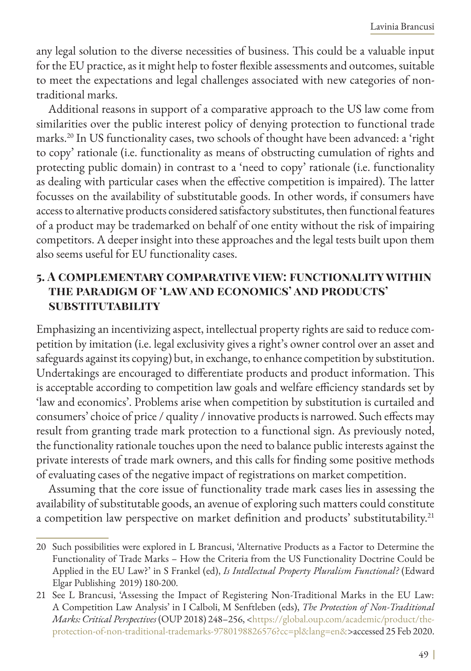any legal solution to the diverse necessities of business. This could be a valuable input for the EU practice, as it might help to foster flexible assessments and outcomes, suitable to meet the expectations and legal challenges associated with new categories of nontraditional marks.

Additional reasons in support of a comparative approach to the US law come from similarities over the public interest policy of denying protection to functional trade marks.20 In US functionality cases, two schools of thought have been advanced: a 'right to copy' rationale (i.e. functionality as means of obstructing cumulation of rights and protecting public domain) in contrast to a 'need to copy' rationale (i.e. functionality as dealing with particular cases when the effective competition is impaired). The latter focusses on the availability of substitutable goods. In other words, if consumers have access to alternative products considered satisfactory substitutes, then functional features of a product may be trademarked on behalf of one entity without the risk of impairing competitors. A deeper insight into these approaches and the legal tests built upon them also seems useful for EU functionality cases.

#### **5. A complementary comparative view: functionality within the paradigm of 'law and economics' and products' substitutability**

Emphasizing an incentivizing aspect, intellectual property rights are said to reduce competition by imitation (i.e. legal exclusivity gives a right's owner control over an asset and safeguards against its copying) but, in exchange, to enhance competition by substitution. Undertakings are encouraged to differentiate products and product information. This is acceptable according to competition law goals and welfare efficiency standards set by 'law and economics'. Problems arise when competition by substitution is curtailed and consumers' choice of price / quality / innovative products is narrowed. Such effects may result from granting trade mark protection to a functional sign. As previously noted, the functionality rationale touches upon the need to balance public interests against the private interests of trade mark owners, and this calls for finding some positive methods of evaluating cases of the negative impact of registrations on market competition.

Assuming that the core issue of functionality trade mark cases lies in assessing the availability of substitutable goods, an avenue of exploring such matters could constitute a competition law perspective on market definition and products' substitutability.<sup>21</sup>

<sup>20</sup> Such possibilities were explored in L Brancusi, 'Alternative Products as a Factor to Determine the Functionality of Trade Marks – How the Criteria from the US Functionality Doctrine Could be Applied in the EU Law?' in S Frankel (ed), *Is Intellectual Property Pluralism Functional?* (Edward Elgar Publishing 2019) 180-200.

<sup>21</sup> See L Brancusi, 'Assessing the Impact of Registering Non-Traditional Marks in the EU Law: A Competition Law Analysis' in I Calboli, M Senftleben (eds), *The Protection of Non-Traditional Marks: Critical Perspectives* (OUP 2018) 248–256, <[https://global.oup.com/academic/product/the](https://global.oup.com/academic/product/the-protection-of-non-traditional-trademarks-9780198826576?c)[protection-of-non-traditional-trademarks-9780198826576?cc=pl&lang=en&](https://global.oup.com/academic/product/the-protection-of-non-traditional-trademarks-9780198826576?c)>accessed 25 Feb 2020.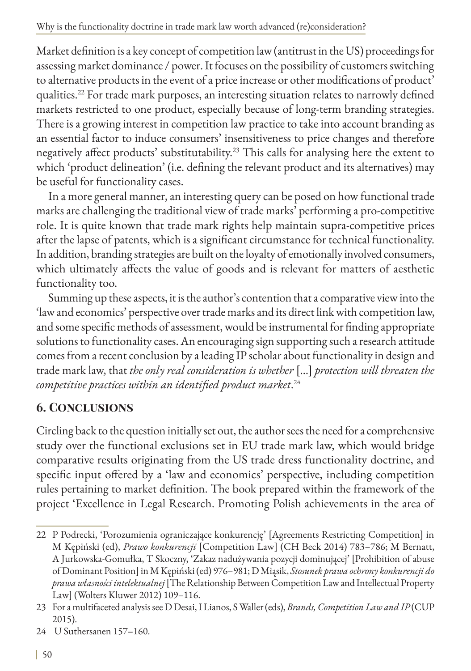Market definition is a key concept of competition law (antitrust in the US) proceedings for assessing market dominance / power. It focuses on the possibility of customers switching to alternative products in the event of a price increase or other modifications of product' qualities.22 For trade mark purposes, an interesting situation relates to narrowly defined markets restricted to one product, especially because of long-term branding strategies. There is a growing interest in competition law practice to take into account branding as an essential factor to induce consumers' insensitiveness to price changes and therefore negatively affect products' substitutability.23 This calls for analysing here the extent to which 'product delineation' (i.e. defining the relevant product and its alternatives) may be useful for functionality cases.

In a more general manner, an interesting query can be posed on how functional trade marks are challenging the traditional view of trade marks' performing a pro-competitive role. It is quite known that trade mark rights help maintain supra-competitive prices after the lapse of patents, which is a significant circumstance for technical functionality. In addition, branding strategies are built on the loyalty of emotionally involved consumers, which ultimately affects the value of goods and is relevant for matters of aesthetic functionality too.

Summing up these aspects, it is the author's contention that a comparative view into the 'law and economics' perspective over trade marks and its direct link with competition law, and some specific methods of assessment, would be instrumental for finding appropriate solutions to functionality cases. An encouraging sign supporting such a research attitude comes from a recent conclusion by a leading IP scholar about functionality in design and trade mark law, that *the only real consideration is whether* […] *protection will threaten the competitive practices within an identified product market*. 24

# **6. Conclusions**

Circling back to the question initially set out, the author sees the need for a comprehensive study over the functional exclusions set in EU trade mark law, which would bridge comparative results originating from the US trade dress functionality doctrine, and specific input offered by a 'law and economics' perspective, including competition rules pertaining to market definition. The book prepared within the framework of the project 'Excellence in Legal Research. Promoting Polish achievements in the area of

<sup>22</sup> P Podrecki, 'Porozumienia ograniczające konkurencję' [Agreements Restricting Competition] in M Kępiński (ed), *Prawo konkurencji* [Competition Law] (CH Beck 2014) 783–786; M Bernatt, A Jurkowska-Gomułka, T Skoczny, 'Zakaz nadużywania pozycji dominującej' [Prohibition of abuse of Dominant Position] in M Kępiński (ed) 976–981; D Miąsik, *Stosunek prawa ochrony konkurencji do prawa własności intelektualnej* [The Relationship Between Competition Law and Intellectual Property Law] (Wolters Kluwer 2012) 109–116.

<sup>23</sup> For a multifaceted analysis see D Desai, I Lianos, S Waller (eds), *Brands, Competition Law and IP* (CUP 2015).

<sup>24</sup> U Suthersanen 157–160.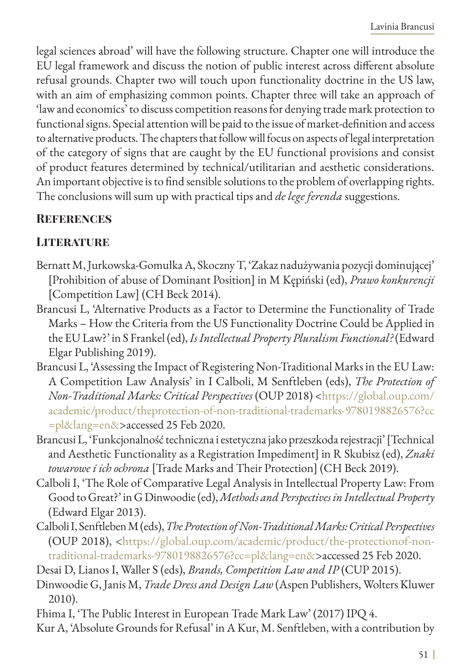legal sciences abroad' will have the following structure. Chapter one will introduce the EU legal framework and discuss the notion of public interest across different absolute refusal grounds. Chapter two will touch upon functionality doctrine in the US law, with an aim of emphasizing common points. Chapter three will take an approach of 'law and economics' to discuss competition reasons for denying trade mark protection to functional signs. Special attention will be paid to the issue of market-definition and access to alternative products. The chapters that follow will focus on aspects of legal interpretation of the category of signs that are caught by the EU functional provisions and consist of product features determined by technical/utilitarian and aesthetic considerations. An important objective is to find sensible solutions to the problem of overlapping rights. The conclusions will sum up with practical tips and *de lege ferenda* suggestions.

# **References**

### **LITERATURE**

- Bernatt M, Jurkowska-Gomułka A, Skoczny T, 'Zakaz nadużywania pozycji dominującej' [Prohibition of abuse of Dominant Position] in M Kępiński (ed), *Prawo konkurencji* [Competition Law] (CH Beck 2014).
- Brancusi L, 'Alternative Products as a Factor to Determine the Functionality of Trade Marks – How the Criteria from the US Functionality Doctrine Could be Applied in the EU Law?' in S Frankel (ed), *Is Intellectual Property Pluralism Functional?* (Edward Elgar Publishing 2019).
- Brancusi L, 'Assessing the Impact of Registering Non-Traditional Marks in the EU Law: A Competition Law Analysis' in I Calboli, M Senftleben (eds), *The Protection of Non-Traditional Marks: Critical Perspectives* (OUP 2018) <[https://global.oup.com/](https://global.oup.com/academic/product/theprotection-of-non-traditional-trademarks-9780198826576?cc) [academic/product/theprotection-of-non-traditional-trademarks-9780198826576?cc](https://global.oup.com/academic/product/theprotection-of-non-traditional-trademarks-9780198826576?cc) [=pl&lang=en&>](https://global.oup.com/academic/product/theprotection-of-non-traditional-trademarks-9780198826576?cc)accessed 25 Feb 2020.
- Brancusi L, 'Funkcjonalność techniczna i estetyczna jako przeszkoda rejestracji' [Technical and Aesthetic Functionality as a Registration Impediment] in R Skubisz (ed), *Znaki towarowe i ich ochrona* [Trade Marks and Their Protection] (CH Beck 2019).
- Calboli I, 'The Role of Comparative Legal Analysis in Intellectual Property Law: From Good to Great?' in G Dinwoodie (ed), *Methods and Perspectives in Intellectual Property* (Edward Elgar 2013).
- Calboli I, Senftleben M (eds), *The Protection of Non-Traditional Marks: Critical Perspectives* (OUP 2018), <[https://global.oup.com/academic/product/the-protectionof-non](https://global.oup.com/academic/product/the-protectionof-non-traditional-trademarks-9780198826576?cc)[traditional-trademarks-9780198826576?cc=pl&lang=en&>](https://global.oup.com/academic/product/the-protectionof-non-traditional-trademarks-9780198826576?cc)accessed 25 Feb 2020.

Desai D, Lianos I, Waller S (eds), *Brands, Competition Law and IP* (CUP 2015).

- Dinwoodie G, Janis M, *Trade Dress and Design Law* (Aspen Publishers, Wolters Kluwer 2010).
- Fhima I, 'The Public Interest in European Trade Mark Law' (2017) IPQ 4.
- Kur A, 'Absolute Grounds for Refusal' in A Kur, M. Senftleben, with a contribution by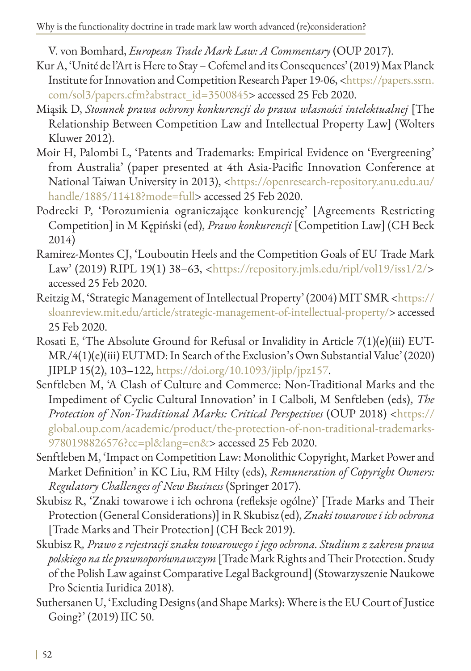V. von Bomhard, *European Trade Mark Law: A Commentary* (OUP 2017).

- Kur A, 'Unité de l'Art is Here to Stay Cofemel and its Consequences' (2019) Max Planck Institute for Innovation and Competition Research Paper 19-06, [<https://papers.ssrn.](https://papers.ssrn.com/sol3/papers.cfm?abstract_id=3500845) [com/sol3/papers.cfm?abstract\\_id=3500845](https://papers.ssrn.com/sol3/papers.cfm?abstract_id=3500845)> accessed 25 Feb 2020.
- Miąsik D, *Stosunek prawa ochrony konkurencji do prawa własności intelektualnej* [The Relationship Between Competition Law and Intellectual Property Law] (Wolters Kluwer 2012).
- Moir H, Palombi L, 'Patents and Trademarks: Empirical Evidence on 'Evergreening' from Australia' (paper presented at 4th Asia-Pacific Innovation Conference at National Taiwan University in 2013), [<https://openresearch-repository.anu.edu.au/](https://openresearch-repository.anu.edu.au/handle/1885/11418?mode=full) [handle/1885/11418?mode=full>](https://openresearch-repository.anu.edu.au/handle/1885/11418?mode=full) accessed 25 Feb 2020.
- Podrecki P, 'Porozumienia ograniczające konkurencję' [Agreements Restricting Competition] in M Kępiński (ed), *Prawo konkurencji* [Competition Law] (CH Beck 2014)
- Ramirez-Montes CJ, 'Louboutin Heels and the Competition Goals of EU Trade Mark Law' (2019) RIPL 19(1) 38–63, [<https://repository.jmls.edu/ripl/vol19/iss1/2/](https://repository.jmls.edu/ripl/vol19/iss1/2/)> accessed 25 Feb 2020.
- Reitzig M, 'Strategic Management of Intellectual Property' (2004) MIT SMR <https:// sloanreview.mit.edu/article/strategic-management-of-intellectual-property/> accessed 25 Feb 2020.
- Rosati E, 'The Absolute Ground for Refusal or Invalidity in Article 7(1)(e)(iii) EUT-MR/4(1)(e)(iii) EUTMD: In Search of the Exclusion's Own Substantial Value' (2020) JIPLP 15(2), 103–122,<https://doi.org/10.1093/jiplp/jpz157>.
- Senftleben M, 'A Clash of Culture and Commerce: Non-Traditional Marks and the Impediment of Cyclic Cultural Innovation' in I Calboli, M Senftleben (eds), *The Protection of Non-Traditional Marks: Critical Perspectives* (OUP 2018) [<https://](https://global.oup.com/academic/product/the-protection-of-non-traditional-trademarks-9780198826576?c) [global.oup.com/academic/product/the-protection-of-non-traditional-trademarks-](https://global.oup.com/academic/product/the-protection-of-non-traditional-trademarks-9780198826576?c)[9780198826576?cc=pl&lang=en&>](https://global.oup.com/academic/product/the-protection-of-non-traditional-trademarks-9780198826576?c) accessed 25 Feb 2020.
- Senftleben M, 'Impact on Competition Law: Monolithic Copyright, Market Power and Market Definition' in KC Liu, RM Hilty (eds), *Remuneration of Copyright Owners: Regulatory Challenges of New Business* (Springer 2017).
- Skubisz R, 'Znaki towarowe i ich ochrona (refleksje ogólne)' [Trade Marks and Their Protection (General Considerations)] in R Skubisz (ed), *Znaki towarowe i ich ochrona* [Trade Marks and Their Protection] (CH Beck 2019).
- Skubisz R*, Prawo z rejestracji znaku towarowego i jego ochrona. Studium z zakresu prawa polskiego na tle prawnoporównawczym* [Trade Mark Rights and Their Protection. Study of the Polish Law against Comparative Legal Background] (Stowarzyszenie Naukowe Pro Scientia Iuridica 2018).
- Suthersanen U, 'Excluding Designs (and Shape Marks): Where is the EU Court of Justice Going?' (2019) IIC 50.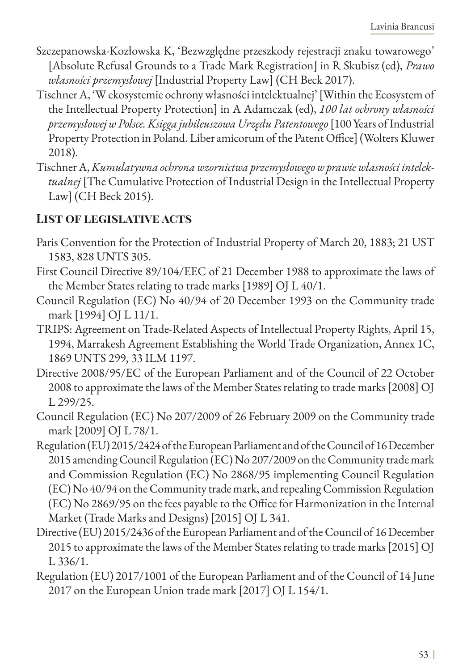- Szczepanowska-Kozłowska K, 'Bezwzględne przeszkody rejestracji znaku towarowego' [Absolute Refusal Grounds to a Trade Mark Registration] in R Skubisz (ed), *Prawo własności przemysłowej* [Industrial Property Law] (CH Beck 2017).
- Tischner A, 'W ekosystemie ochrony własności intelektualnej' [Within the Ecosystem of the Intellectual Property Protection] in A Adamczak (ed), *100 lat ochrony własności przemysłowej w Polsce. Księga jubileuszowa Urzędu Patentowego* [100 Years of Industrial Property Protection in Poland. Liber amicorum of the Patent Office] (Wolters Kluwer 2018).
- Tischner A, *Kumulatywna ochrona wzornictwa przemysłowego w prawie własności intelektualnej* [The Cumulative Protection of Industrial Design in the Intellectual Property Law] (CH Beck 2015).

# **List of legislative acts**

- Paris Convention for the Protection of Industrial Property of March 20, 1883; 21 UST 1583, 828 UNTS 305.
- First Council Directive 89/104/EEC of 21 December 1988 to approximate the laws of the Member States relating to trade marks [1989] OJ L 40/1.
- Council Regulation (EC) No 40/94 of 20 December 1993 on the Community trade mark [1994] OJ L 11/1.
- TRIPS: Agreement on Trade-Related Aspects of Intellectual Property Rights, April 15, 1994, Marrakesh Agreement Establishing the World Trade Organization, Annex 1C, 1869 UNTS 299, 33 ILM 1197.
- Directive 2008/95/EC of the European Parliament and of the Council of 22 October 2008 to approximate the laws of the Member States relating to trade marks [2008] OJ L 299/25.
- Council Regulation (EC) No 207/2009 of 26 February 2009 on the Community trade mark [2009] OJ L 78/1.
- Regulation (EU) 2015/2424 of the European Parliament and of the Council of 16 December 2015 amending Council Regulation (EC) No 207/2009 on the Community trade mark and Commission Regulation (EC) No 2868/95 implementing Council Regulation (EC) No 40/94 on the Community trade mark, and repealing Commission Regulation (EC) No 2869/95 on the fees payable to the Office for Harmonization in the Internal Market (Trade Marks and Designs) [2015] OJ L 341.
- Directive (EU) 2015/2436 of the European Parliament and of the Council of 16 December 2015 to approximate the laws of the Member States relating to trade marks [2015] OJ L 336/1.
- Regulation (EU) 2017/1001 of the European Parliament and of the Council of 14 June 2017 on the European Union trade mark [2017] OJ L 154/1.